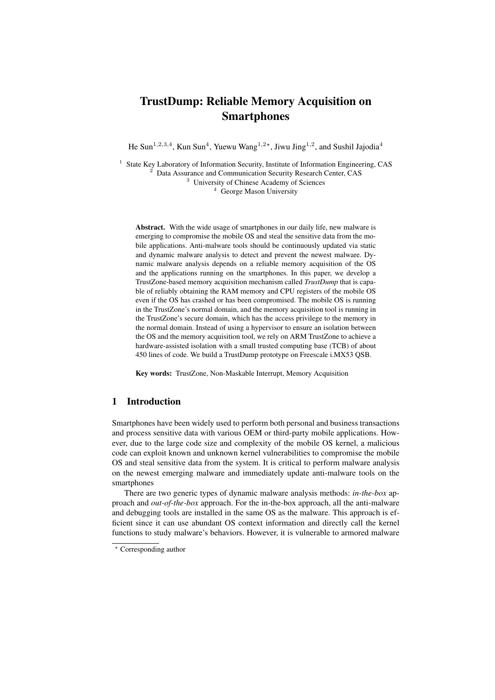# TrustDump: Reliable Memory Acquisition on **Smartphones**

He Sun<sup>1,2,3,4</sup>, Kun Sun<sup>4</sup>, Yuewu Wang<sup>1,2\*</sup>, Jiwu Jing<sup>1,2</sup>, and Sushil Jajodia<sup>4</sup>

<sup>1</sup> State Key Laboratory of Information Security, Institute of Information Engineering, CAS <sup>2</sup> Data Assurance and Communication Security Research Center, CAS <sup>3</sup> University of Chinese Academy of Sciences <sup>4</sup> George Mason University

Abstract. With the wide usage of smartphones in our daily life, new malware is emerging to compromise the mobile OS and steal the sensitive data from the mobile applications. Anti-malware tools should be continuously updated via static and dynamic malware analysis to detect and prevent the newest malware. Dynamic malware analysis depends on a reliable memory acquisition of the OS and the applications running on the smartphones. In this paper, we develop a TrustZone-based memory acquisition mechanism called *TrustDump* that is capable of reliably obtaining the RAM memory and CPU registers of the mobile OS even if the OS has crashed or has been compromised. The mobile OS is running in the TrustZone's normal domain, and the memory acquisition tool is running in the TrustZone's secure domain, which has the access privilege to the memory in the normal domain. Instead of using a hypervisor to ensure an isolation between the OS and the memory acquisition tool, we rely on ARM TrustZone to achieve a hardware-assisted isolation with a small trusted computing base (TCB) of about 450 lines of code. We build a TrustDump prototype on Freescale i.MX53 QSB.

Key words: TrustZone, Non-Maskable Interrupt, Memory Acquisition

# 1 Introduction

Smartphones have been widely used to perform both personal and business transactions and process sensitive data with various OEM or third-party mobile applications. However, due to the large code size and complexity of the mobile OS kernel, a malicious code can exploit known and unknown kernel vulnerabilities to compromise the mobile OS and steal sensitive data from the system. It is critical to perform malware analysis on the newest emerging malware and immediately update anti-malware tools on the smartphones

There are two generic types of dynamic malware analysis methods: *in-the-box* approach and *out-of-the-box* approach. For the in-the-box approach, all the anti-malware and debugging tools are installed in the same OS as the malware. This approach is efficient since it can use abundant OS context information and directly call the kernel functions to study malware's behaviors. However, it is vulnerable to armored malware

<sup>\*</sup> Corresponding author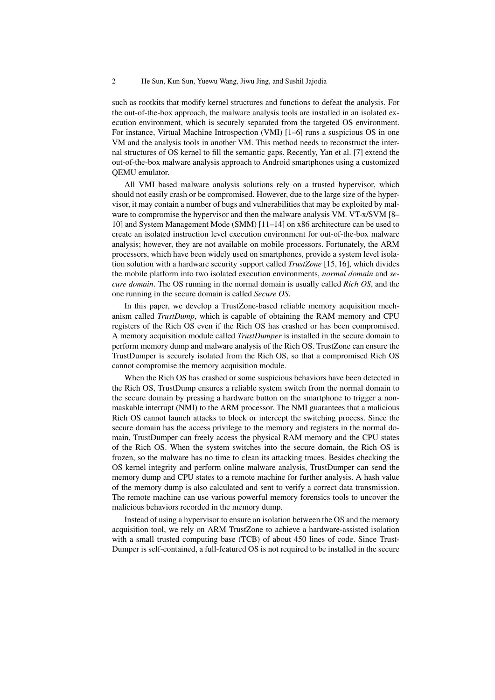such as rootkits that modify kernel structures and functions to defeat the analysis. For the out-of-the-box approach, the malware analysis tools are installed in an isolated execution environment, which is securely separated from the targeted OS environment. For instance, Virtual Machine Introspection (VMI) [1–6] runs a suspicious OS in one VM and the analysis tools in another VM. This method needs to reconstruct the internal structures of OS kernel to fill the semantic gaps. Recently, Yan et al. [7] extend the out-of-the-box malware analysis approach to Android smartphones using a customized QEMU emulator.

All VMI based malware analysis solutions rely on a trusted hypervisor, which should not easily crash or be compromised. However, due to the large size of the hypervisor, it may contain a number of bugs and vulnerabilities that may be exploited by malware to compromise the hypervisor and then the malware analysis VM. VT-x/SVM [8– 10] and System Management Mode (SMM) [11–14] on x86 architecture can be used to create an isolated instruction level execution environment for out-of-the-box malware analysis; however, they are not available on mobile processors. Fortunately, the ARM processors, which have been widely used on smartphones, provide a system level isolation solution with a hardware security support called *TrustZone* [15, 16], which divides the mobile platform into two isolated execution environments, *normal domain* and *secure domain*. The OS running in the normal domain is usually called *Rich OS*, and the one running in the secure domain is called *Secure OS*.

In this paper, we develop a TrustZone-based reliable memory acquisition mechanism called *TrustDump*, which is capable of obtaining the RAM memory and CPU registers of the Rich OS even if the Rich OS has crashed or has been compromised. A memory acquisition module called *TrustDumper* is installed in the secure domain to perform memory dump and malware analysis of the Rich OS. TrustZone can ensure the TrustDumper is securely isolated from the Rich OS, so that a compromised Rich OS cannot compromise the memory acquisition module.

When the Rich OS has crashed or some suspicious behaviors have been detected in the Rich OS, TrustDump ensures a reliable system switch from the normal domain to the secure domain by pressing a hardware button on the smartphone to trigger a nonmaskable interrupt (NMI) to the ARM processor. The NMI guarantees that a malicious Rich OS cannot launch attacks to block or intercept the switching process. Since the secure domain has the access privilege to the memory and registers in the normal domain, TrustDumper can freely access the physical RAM memory and the CPU states of the Rich OS. When the system switches into the secure domain, the Rich OS is frozen, so the malware has no time to clean its attacking traces. Besides checking the OS kernel integrity and perform online malware analysis, TrustDumper can send the memory dump and CPU states to a remote machine for further analysis. A hash value of the memory dump is also calculated and sent to verify a correct data transmission. The remote machine can use various powerful memory forensics tools to uncover the malicious behaviors recorded in the memory dump.

Instead of using a hypervisor to ensure an isolation between the OS and the memory acquisition tool, we rely on ARM TrustZone to achieve a hardware-assisted isolation with a small trusted computing base (TCB) of about 450 lines of code. Since Trust-Dumper is self-contained, a full-featured OS is not required to be installed in the secure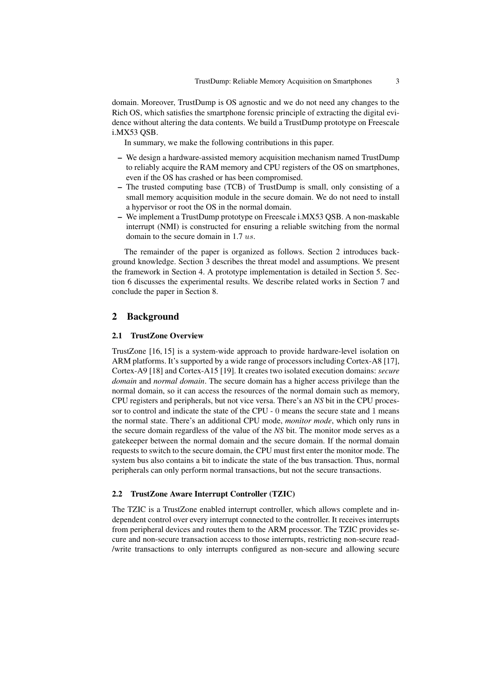domain. Moreover, TrustDump is OS agnostic and we do not need any changes to the Rich OS, which satisfies the smartphone forensic principle of extracting the digital evidence without altering the data contents. We build a TrustDump prototype on Freescale i.MX53 QSB.

In summary, we make the following contributions in this paper.

- We design a hardware-assisted memory acquisition mechanism named TrustDump to reliably acquire the RAM memory and CPU registers of the OS on smartphones, even if the OS has crashed or has been compromised.
- The trusted computing base (TCB) of TrustDump is small, only consisting of a small memory acquisition module in the secure domain. We do not need to install a hypervisor or root the OS in the normal domain.
- We implement a TrustDump prototype on Freescale i.MX53 QSB. A non-maskable interrupt (NMI) is constructed for ensuring a reliable switching from the normal domain to the secure domain in 1.7 us.

The remainder of the paper is organized as follows. Section 2 introduces background knowledge. Section 3 describes the threat model and assumptions. We present the framework in Section 4. A prototype implementation is detailed in Section 5. Section 6 discusses the experimental results. We describe related works in Section 7 and conclude the paper in Section 8.

# 2 Background

### 2.1 TrustZone Overview

TrustZone [16, 15] is a system-wide approach to provide hardware-level isolation on ARM platforms. It's supported by a wide range of processors including Cortex-A8 [17], Cortex-A9 [18] and Cortex-A15 [19]. It creates two isolated execution domains: *secure domain* and *normal domain*. The secure domain has a higher access privilege than the normal domain, so it can access the resources of the normal domain such as memory, CPU registers and peripherals, but not vice versa. There's an *NS* bit in the CPU processor to control and indicate the state of the CPU - 0 means the secure state and 1 means the normal state. There's an additional CPU mode, *monitor mode*, which only runs in the secure domain regardless of the value of the *NS* bit. The monitor mode serves as a gatekeeper between the normal domain and the secure domain. If the normal domain requests to switch to the secure domain, the CPU must first enter the monitor mode. The system bus also contains a bit to indicate the state of the bus transaction. Thus, normal peripherals can only perform normal transactions, but not the secure transactions.

#### 2.2 TrustZone Aware Interrupt Controller (TZIC)

The TZIC is a TrustZone enabled interrupt controller, which allows complete and independent control over every interrupt connected to the controller. It receives interrupts from peripheral devices and routes them to the ARM processor. The TZIC provides secure and non-secure transaction access to those interrupts, restricting non-secure read- /write transactions to only interrupts configured as non-secure and allowing secure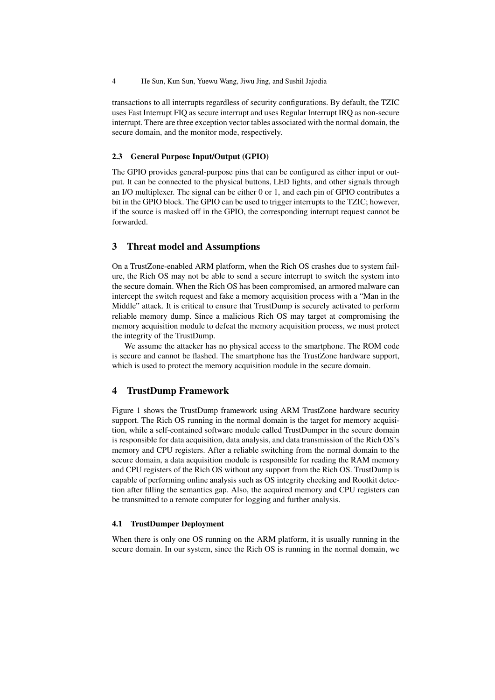transactions to all interrupts regardless of security configurations. By default, the TZIC uses Fast Interrupt FIQ as secure interrupt and uses Regular Interrupt IRQ as non-secure interrupt. There are three exception vector tables associated with the normal domain, the secure domain, and the monitor mode, respectively.

#### 2.3 General Purpose Input/Output (GPIO)

The GPIO provides general-purpose pins that can be configured as either input or output. It can be connected to the physical buttons, LED lights, and other signals through an I/O multiplexer. The signal can be either 0 or 1, and each pin of GPIO contributes a bit in the GPIO block. The GPIO can be used to trigger interrupts to the TZIC; however, if the source is masked off in the GPIO, the corresponding interrupt request cannot be forwarded.

# 3 Threat model and Assumptions

On a TrustZone-enabled ARM platform, when the Rich OS crashes due to system failure, the Rich OS may not be able to send a secure interrupt to switch the system into the secure domain. When the Rich OS has been compromised, an armored malware can intercept the switch request and fake a memory acquisition process with a "Man in the Middle" attack. It is critical to ensure that TrustDump is securely activated to perform reliable memory dump. Since a malicious Rich OS may target at compromising the memory acquisition module to defeat the memory acquisition process, we must protect the integrity of the TrustDump.

We assume the attacker has no physical access to the smartphone. The ROM code is secure and cannot be flashed. The smartphone has the TrustZone hardware support, which is used to protect the memory acquisition module in the secure domain.

## 4 TrustDump Framework

Figure 1 shows the TrustDump framework using ARM TrustZone hardware security support. The Rich OS running in the normal domain is the target for memory acquisition, while a self-contained software module called TrustDumper in the secure domain is responsible for data acquisition, data analysis, and data transmission of the Rich OS's memory and CPU registers. After a reliable switching from the normal domain to the secure domain, a data acquisition module is responsible for reading the RAM memory and CPU registers of the Rich OS without any support from the Rich OS. TrustDump is capable of performing online analysis such as OS integrity checking and Rootkit detection after filling the semantics gap. Also, the acquired memory and CPU registers can be transmitted to a remote computer for logging and further analysis.

### 4.1 TrustDumper Deployment

When there is only one OS running on the ARM platform, it is usually running in the secure domain. In our system, since the Rich OS is running in the normal domain, we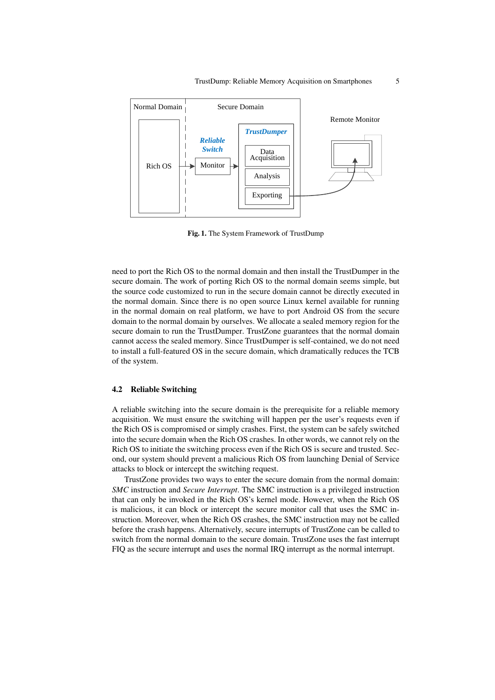

Fig. 1. The System Framework of TrustDump

need to port the Rich OS to the normal domain and then install the TrustDumper in the secure domain. The work of porting Rich OS to the normal domain seems simple, but the source code customized to run in the secure domain cannot be directly executed in the normal domain. Since there is no open source Linux kernel available for running in the normal domain on real platform, we have to port Android OS from the secure domain to the normal domain by ourselves. We allocate a sealed memory region for the secure domain to run the TrustDumper. TrustZone guarantees that the normal domain cannot access the sealed memory. Since TrustDumper is self-contained, we do not need to install a full-featured OS in the secure domain, which dramatically reduces the TCB of the system.

#### 4.2 Reliable Switching

A reliable switching into the secure domain is the prerequisite for a reliable memory acquisition. We must ensure the switching will happen per the user's requests even if the Rich OS is compromised or simply crashes. First, the system can be safely switched into the secure domain when the Rich OS crashes. In other words, we cannot rely on the Rich OS to initiate the switching process even if the Rich OS is secure and trusted. Second, our system should prevent a malicious Rich OS from launching Denial of Service attacks to block or intercept the switching request.

TrustZone provides two ways to enter the secure domain from the normal domain: *SMC* instruction and *Secure Interrupt*. The SMC instruction is a privileged instruction that can only be invoked in the Rich OS's kernel mode. However, when the Rich OS is malicious, it can block or intercept the secure monitor call that uses the SMC instruction. Moreover, when the Rich OS crashes, the SMC instruction may not be called before the crash happens. Alternatively, secure interrupts of TrustZone can be called to switch from the normal domain to the secure domain. TrustZone uses the fast interrupt FIQ as the secure interrupt and uses the normal IRQ interrupt as the normal interrupt.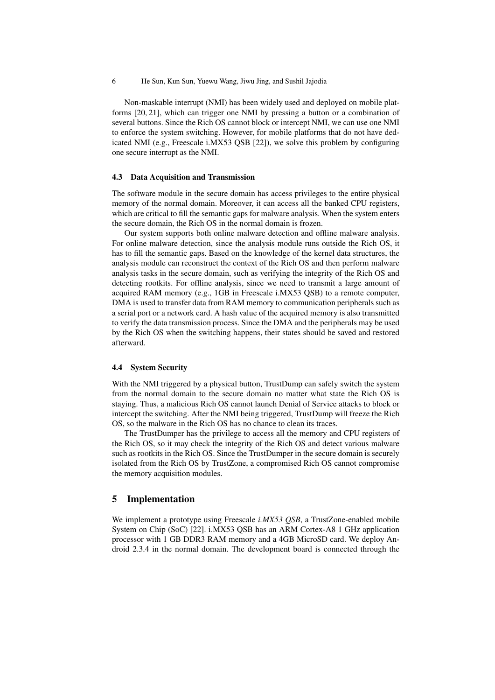Non-maskable interrupt (NMI) has been widely used and deployed on mobile platforms [20, 21], which can trigger one NMI by pressing a button or a combination of several buttons. Since the Rich OS cannot block or intercept NMI, we can use one NMI to enforce the system switching. However, for mobile platforms that do not have dedicated NMI (e.g., Freescale i.MX53 QSB [22]), we solve this problem by configuring one secure interrupt as the NMI.

# 4.3 Data Acquisition and Transmission

The software module in the secure domain has access privileges to the entire physical memory of the normal domain. Moreover, it can access all the banked CPU registers, which are critical to fill the semantic gaps for malware analysis. When the system enters the secure domain, the Rich OS in the normal domain is frozen.

Our system supports both online malware detection and offline malware analysis. For online malware detection, since the analysis module runs outside the Rich OS, it has to fill the semantic gaps. Based on the knowledge of the kernel data structures, the analysis module can reconstruct the context of the Rich OS and then perform malware analysis tasks in the secure domain, such as verifying the integrity of the Rich OS and detecting rootkits. For offline analysis, since we need to transmit a large amount of acquired RAM memory (e.g., 1GB in Freescale i.MX53 QSB) to a remote computer, DMA is used to transfer data from RAM memory to communication peripherals such as a serial port or a network card. A hash value of the acquired memory is also transmitted to verify the data transmission process. Since the DMA and the peripherals may be used by the Rich OS when the switching happens, their states should be saved and restored afterward.

#### 4.4 System Security

With the NMI triggered by a physical button, TrustDump can safely switch the system from the normal domain to the secure domain no matter what state the Rich OS is staying. Thus, a malicious Rich OS cannot launch Denial of Service attacks to block or intercept the switching. After the NMI being triggered, TrustDump will freeze the Rich OS, so the malware in the Rich OS has no chance to clean its traces.

The TrustDumper has the privilege to access all the memory and CPU registers of the Rich OS, so it may check the integrity of the Rich OS and detect various malware such as rootkits in the Rich OS. Since the TrustDumper in the secure domain is securely isolated from the Rich OS by TrustZone, a compromised Rich OS cannot compromise the memory acquisition modules.

# 5 Implementation

We implement a prototype using Freescale *i.MX53 QSB*, a TrustZone-enabled mobile System on Chip (SoC) [22]. i.MX53 QSB has an ARM Cortex-A8 1 GHz application processor with 1 GB DDR3 RAM memory and a 4GB MicroSD card. We deploy Android 2.3.4 in the normal domain. The development board is connected through the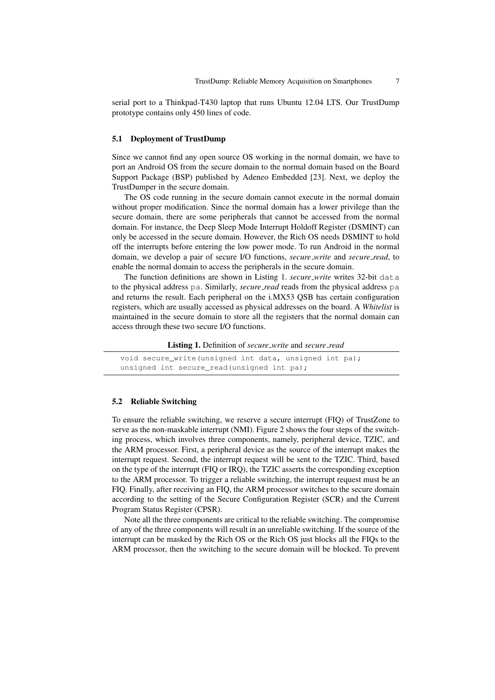serial port to a Thinkpad-T430 laptop that runs Ubuntu 12.04 LTS. Our TrustDump prototype contains only 450 lines of code.

#### 5.1 Deployment of TrustDump

Since we cannot find any open source OS working in the normal domain, we have to port an Android OS from the secure domain to the normal domain based on the Board Support Package (BSP) published by Adeneo Embedded [23]. Next, we deploy the TrustDumper in the secure domain.

The OS code running in the secure domain cannot execute in the normal domain without proper modification. Since the normal domain has a lower privilege than the secure domain, there are some peripherals that cannot be accessed from the normal domain. For instance, the Deep Sleep Mode Interrupt Holdoff Register (DSMINT) can only be accessed in the secure domain. However, the Rich OS needs DSMINT to hold off the interrupts before entering the low power mode. To run Android in the normal domain, we develop a pair of secure I/O functions, *secure write* and *secure read*, to enable the normal domain to access the peripherals in the secure domain.

The function definitions are shown in Listing 1. *secure write* writes 32-bit data to the physical address pa. Similarly, *secure read* reads from the physical address pa and returns the result. Each peripheral on the i.MX53 QSB has certain configuration registers, which are usually accessed as physical addresses on the board. A *Whitelist* is maintained in the secure domain to store all the registers that the normal domain can access through these two secure I/O functions.

#### Listing 1. Definition of *secure write* and *secure read*

```
void secure_write(unsigned int data, unsigned int pa);
unsigned int secure_read(unsigned int pa);
```
### 5.2 Reliable Switching

To ensure the reliable switching, we reserve a secure interrupt (FIQ) of TrustZone to serve as the non-maskable interrupt (NMI). Figure 2 shows the four steps of the switching process, which involves three components, namely, peripheral device, TZIC, and the ARM processor. First, a peripheral device as the source of the interrupt makes the interrupt request. Second, the interrupt request will be sent to the TZIC. Third, based on the type of the interrupt (FIQ or IRQ), the TZIC asserts the corresponding exception to the ARM processor. To trigger a reliable switching, the interrupt request must be an FIQ. Finally, after receiving an FIQ, the ARM processor switches to the secure domain according to the setting of the Secure Configuration Register (SCR) and the Current Program Status Register (CPSR).

Note all the three components are critical to the reliable switching. The compromise of any of the three components will result in an unreliable switching. If the source of the interrupt can be masked by the Rich OS or the Rich OS just blocks all the FIQs to the ARM processor, then the switching to the secure domain will be blocked. To prevent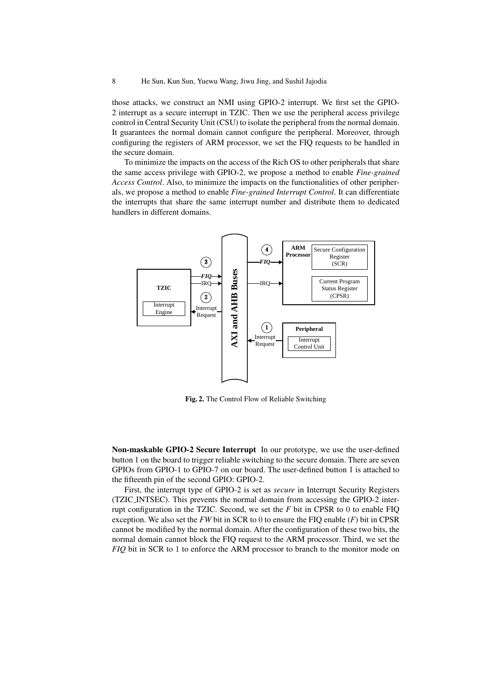those attacks, we construct an NMI using GPIO-2 interrupt. We first set the GPIO-2 interrupt as a secure interrupt in TZIC. Then we use the peripheral access privilege control in Central Security Unit (CSU) to isolate the peripheral from the normal domain. It guarantees the normal domain cannot configure the peripheral. Moreover, through configuring the registers of ARM processor, we set the FIQ requests to be handled in the secure domain.

To minimize the impacts on the access of the Rich OS to other peripherals that share the same access privilege with GPIO-2, we propose a method to enable *Fine-grained Access Control*. Also, to minimize the impacts on the functionalities of other peripherals, we propose a method to enable *Fine-grained Interrupt Control*. It can differentiate the interrupts that share the same interrupt number and distribute them to dedicated handlers in different domains.



Fig. 2. The Control Flow of Reliable Switching

Non-maskable GPIO-2 Secure Interrupt In our prototype, we use the user-defined button 1 on the board to trigger reliable switching to the secure domain. There are seven GPIOs from GPIO-1 to GPIO-7 on our board. The user-defined button 1 is attached to the fifteenth pin of the second GPIO: GPIO-2.

First, the interrupt type of GPIO-2 is set as *secure* in Interrupt Security Registers (TZIC INTSEC). This prevents the normal domain from accessing the GPIO-2 interrupt configuration in the TZIC. Second, we set the *F* bit in CPSR to 0 to enable FIQ exception. We also set the *FW* bit in SCR to 0 to ensure the FIQ enable (*F*) bit in CPSR cannot be modified by the normal domain. After the configuration of these two bits, the normal domain cannot block the FIQ request to the ARM processor. Third, we set the *FIQ* bit in SCR to 1 to enforce the ARM processor to branch to the monitor mode on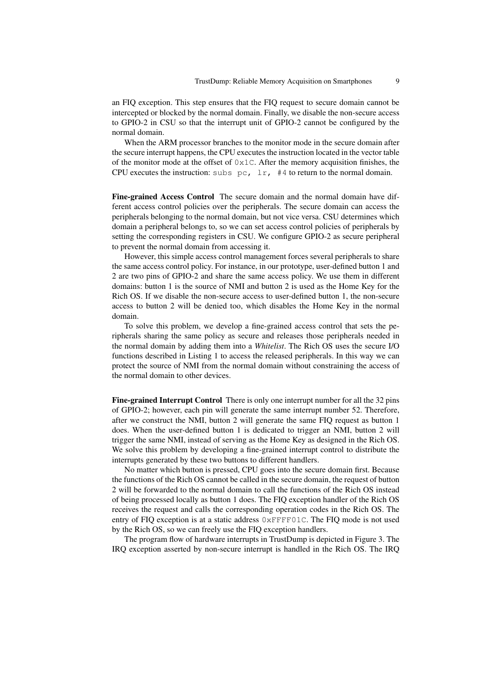an FIQ exception. This step ensures that the FIQ request to secure domain cannot be intercepted or blocked by the normal domain. Finally, we disable the non-secure access to GPIO-2 in CSU so that the interrupt unit of GPIO-2 cannot be configured by the normal domain.

When the ARM processor branches to the monitor mode in the secure domain after the secure interrupt happens, the CPU executes the instruction located in the vector table of the monitor mode at the offset of  $0 \times 1$ C. After the memory acquisition finishes, the CPU executes the instruction: subs pc,  $\text{lr}$ , #4 to return to the normal domain.

Fine-grained Access Control The secure domain and the normal domain have different access control policies over the peripherals. The secure domain can access the peripherals belonging to the normal domain, but not vice versa. CSU determines which domain a peripheral belongs to, so we can set access control policies of peripherals by setting the corresponding registers in CSU. We configure GPIO-2 as secure peripheral to prevent the normal domain from accessing it.

However, this simple access control management forces several peripherals to share the same access control policy. For instance, in our prototype, user-defined button 1 and 2 are two pins of GPIO-2 and share the same access policy. We use them in different domains: button 1 is the source of NMI and button 2 is used as the Home Key for the Rich OS. If we disable the non-secure access to user-defined button 1, the non-secure access to button 2 will be denied too, which disables the Home Key in the normal domain.

To solve this problem, we develop a fine-grained access control that sets the peripherals sharing the same policy as secure and releases those peripherals needed in the normal domain by adding them into a *Whitelist*. The Rich OS uses the secure I/O functions described in Listing 1 to access the released peripherals. In this way we can protect the source of NMI from the normal domain without constraining the access of the normal domain to other devices.

Fine-grained Interrupt Control There is only one interrupt number for all the 32 pins of GPIO-2; however, each pin will generate the same interrupt number 52. Therefore, after we construct the NMI, button 2 will generate the same FIQ request as button 1 does. When the user-defined button 1 is dedicated to trigger an NMI, button 2 will trigger the same NMI, instead of serving as the Home Key as designed in the Rich OS. We solve this problem by developing a fine-grained interrupt control to distribute the interrupts generated by these two buttons to different handlers.

No matter which button is pressed, CPU goes into the secure domain first. Because the functions of the Rich OS cannot be called in the secure domain, the request of button 2 will be forwarded to the normal domain to call the functions of the Rich OS instead of being processed locally as button 1 does. The FIQ exception handler of the Rich OS receives the request and calls the corresponding operation codes in the Rich OS. The entry of FIQ exception is at a static address  $0 \times \text{FFFF01C}$ . The FIQ mode is not used by the Rich OS, so we can freely use the FIQ exception handlers.

The program flow of hardware interrupts in TrustDump is depicted in Figure 3. The IRQ exception asserted by non-secure interrupt is handled in the Rich OS. The IRQ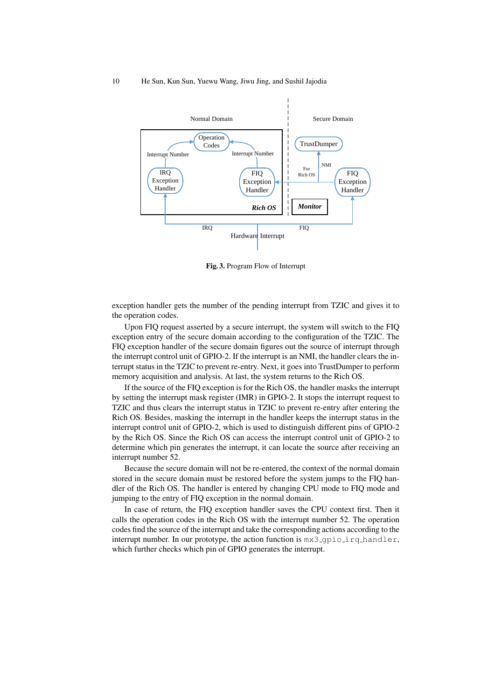

Fig. 3. Program Flow of Interrupt

exception handler gets the number of the pending interrupt from TZIC and gives it to the operation codes.

Upon FIQ request asserted by a secure interrupt, the system will switch to the FIQ exception entry of the secure domain according to the configuration of the TZIC. The FIQ exception handler of the secure domain figures out the source of interrupt through the interrupt control unit of GPIO-2. If the interrupt is an NMI, the handler clears the interrupt status in the TZIC to prevent re-entry. Next, it goes into TrustDumper to perform memory acquisition and analysis. At last, the system returns to the Rich OS.

If the source of the FIQ exception is for the Rich OS, the handler masks the interrupt by setting the interrupt mask register (IMR) in GPIO-2. It stops the interrupt request to TZIC and thus clears the interrupt status in TZIC to prevent re-entry after entering the Rich OS. Besides, masking the interrupt in the handler keeps the interrupt status in the interrupt control unit of GPIO-2, which is used to distinguish different pins of GPIO-2 by the Rich OS. Since the Rich OS can access the interrupt control unit of GPIO-2 to determine which pin generates the interrupt, it can locate the source after receiving an interrupt number 52.

Because the secure domain will not be re-entered, the context of the normal domain stored in the secure domain must be restored before the system jumps to the FIQ handler of the Rich OS. The handler is entered by changing CPU mode to FIQ mode and jumping to the entry of FIQ exception in the normal domain.

In case of return, the FIQ exception handler saves the CPU context first. Then it calls the operation codes in the Rich OS with the interrupt number 52. The operation codes find the source of the interrupt and take the corresponding actions according to the interrupt number. In our prototype, the action function is  $mx3_qpio_irq_endler$ , which further checks which pin of GPIO generates the interrupt.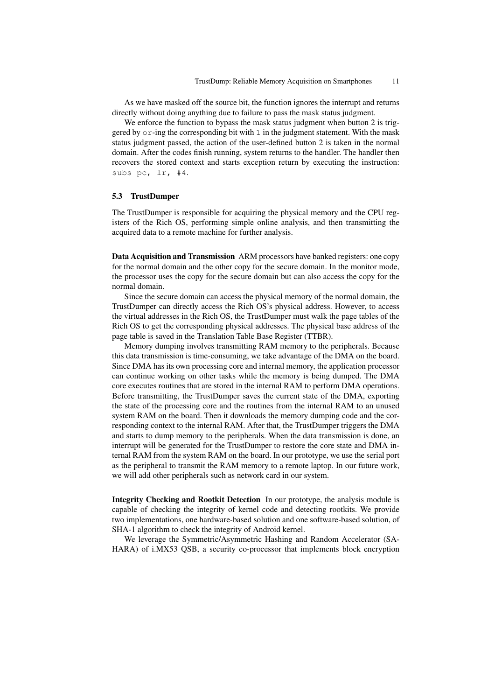As we have masked off the source bit, the function ignores the interrupt and returns directly without doing anything due to failure to pass the mask status judgment.

We enforce the function to bypass the mask status judgment when button 2 is triggered by  $\circ$  r-ing the corresponding bit with 1 in the judgment statement. With the mask status judgment passed, the action of the user-defined button 2 is taken in the normal domain. After the codes finish running, system returns to the handler. The handler then recovers the stored context and starts exception return by executing the instruction: subs pc, lr, #4.

## 5.3 TrustDumper

The TrustDumper is responsible for acquiring the physical memory and the CPU registers of the Rich OS, performing simple online analysis, and then transmitting the acquired data to a remote machine for further analysis.

Data Acquisition and Transmission ARM processors have banked registers: one copy for the normal domain and the other copy for the secure domain. In the monitor mode, the processor uses the copy for the secure domain but can also access the copy for the normal domain.

Since the secure domain can access the physical memory of the normal domain, the TrustDumper can directly access the Rich OS's physical address. However, to access the virtual addresses in the Rich OS, the TrustDumper must walk the page tables of the Rich OS to get the corresponding physical addresses. The physical base address of the page table is saved in the Translation Table Base Register (TTBR).

Memory dumping involves transmitting RAM memory to the peripherals. Because this data transmission is time-consuming, we take advantage of the DMA on the board. Since DMA has its own processing core and internal memory, the application processor can continue working on other tasks while the memory is being dumped. The DMA core executes routines that are stored in the internal RAM to perform DMA operations. Before transmitting, the TrustDumper saves the current state of the DMA, exporting the state of the processing core and the routines from the internal RAM to an unused system RAM on the board. Then it downloads the memory dumping code and the corresponding context to the internal RAM. After that, the TrustDumper triggers the DMA and starts to dump memory to the peripherals. When the data transmission is done, an interrupt will be generated for the TrustDumper to restore the core state and DMA internal RAM from the system RAM on the board. In our prototype, we use the serial port as the peripheral to transmit the RAM memory to a remote laptop. In our future work, we will add other peripherals such as network card in our system.

Integrity Checking and Rootkit Detection In our prototype, the analysis module is capable of checking the integrity of kernel code and detecting rootkits. We provide two implementations, one hardware-based solution and one software-based solution, of SHA-1 algorithm to check the integrity of Android kernel.

We leverage the Symmetric/Asymmetric Hashing and Random Accelerator (SA-HARA) of i.MX53 QSB, a security co-processor that implements block encryption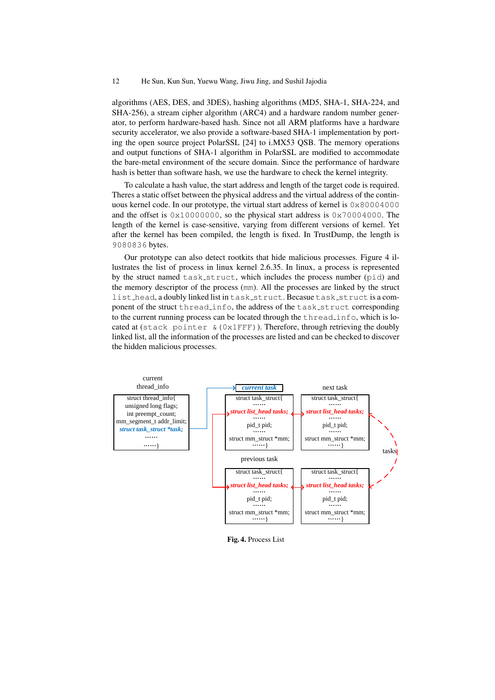algorithms (AES, DES, and 3DES), hashing algorithms (MD5, SHA-1, SHA-224, and SHA-256), a stream cipher algorithm (ARC4) and a hardware random number generator, to perform hardware-based hash. Since not all ARM platforms have a hardware security accelerator, we also provide a software-based SHA-1 implementation by porting the open source project PolarSSL [24] to i.MX53 QSB. The memory operations and output functions of SHA-1 algorithm in PolarSSL are modified to accommodate the bare-metal environment of the secure domain. Since the performance of hardware hash is better than software hash, we use the hardware to check the kernel integrity.

To calculate a hash value, the start address and length of the target code is required. Theres a static offset between the physical address and the virtual address of the continuous kernel code. In our prototype, the virtual start address of kernel is 0x80004000 and the offset is  $0 \times 10000000$ , so the physical start address is  $0 \times 70004000$ . The length of the kernel is case-sensitive, varying from different versions of kernel. Yet after the kernel has been compiled, the length is fixed. In TrustDump, the length is 9080836 bytes.

Our prototype can also detect rootkits that hide malicious processes. Figure 4 illustrates the list of process in linux kernel 2.6.35. In linux, a process is represented by the struct named task struct, which includes the process number (pid) and the memory descriptor of the process (mm). All the processes are linked by the struct list head, a doubly linked list in task struct. Becasue task struct is a component of the struct thread info, the address of the task struct corresponding to the current running process can be located through the thread info, which is located at (stack pointer  $\&(0x1FFF)$ ). Therefore, through retrieving the doubly linked list, all the information of the processes are listed and can be checked to discover the hidden malicious processes.



Fig. 4. Process List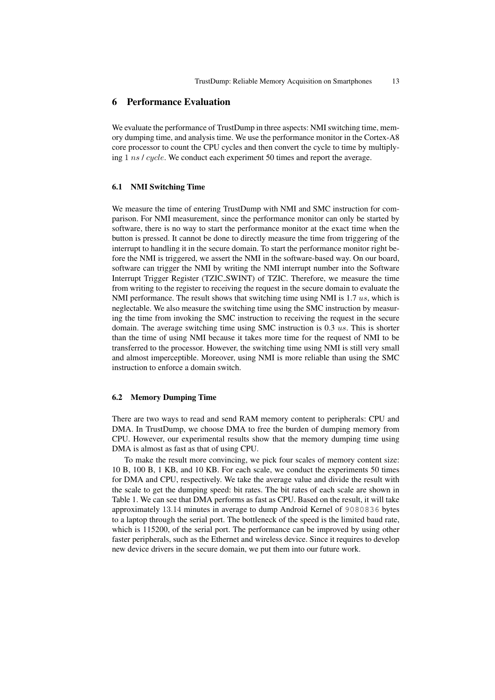# 6 Performance Evaluation

We evaluate the performance of TrustDump in three aspects: NMI switching time, memory dumping time, and analysis time. We use the performance monitor in the Cortex-A8 core processor to count the CPU cycles and then convert the cycle to time by multiplying 1 ns / cycle. We conduct each experiment 50 times and report the average.

# 6.1 NMI Switching Time

We measure the time of entering TrustDump with NMI and SMC instruction for comparison. For NMI measurement, since the performance monitor can only be started by software, there is no way to start the performance monitor at the exact time when the button is pressed. It cannot be done to directly measure the time from triggering of the interrupt to handling it in the secure domain. To start the performance monitor right before the NMI is triggered, we assert the NMI in the software-based way. On our board, software can trigger the NMI by writing the NMI interrupt number into the Software Interrupt Trigger Register (TZIC SWINT) of TZIC. Therefore, we measure the time from writing to the register to receiving the request in the secure domain to evaluate the NMI performance. The result shows that switching time using NMI is  $1.7$  us, which is neglectable. We also measure the switching time using the SMC instruction by measuring the time from invoking the SMC instruction to receiving the request in the secure domain. The average switching time using SMC instruction is  $0.3$  us. This is shorter than the time of using NMI because it takes more time for the request of NMI to be transferred to the processor. However, the switching time using NMI is still very small and almost imperceptible. Moreover, using NMI is more reliable than using the SMC instruction to enforce a domain switch.

# 6.2 Memory Dumping Time

There are two ways to read and send RAM memory content to peripherals: CPU and DMA. In TrustDump, we choose DMA to free the burden of dumping memory from CPU. However, our experimental results show that the memory dumping time using DMA is almost as fast as that of using CPU.

To make the result more convincing, we pick four scales of memory content size: 10 B, 100 B, 1 KB, and 10 KB. For each scale, we conduct the experiments 50 times for DMA and CPU, respectively. We take the average value and divide the result with the scale to get the dumping speed: bit rates. The bit rates of each scale are shown in Table 1. We can see that DMA performs as fast as CPU. Based on the result, it will take approximately 13.14 minutes in average to dump Android Kernel of 9080836 bytes to a laptop through the serial port. The bottleneck of the speed is the limited baud rate, which is 115200, of the serial port. The performance can be improved by using other faster peripherals, such as the Ethernet and wireless device. Since it requires to develop new device drivers in the secure domain, we put them into our future work.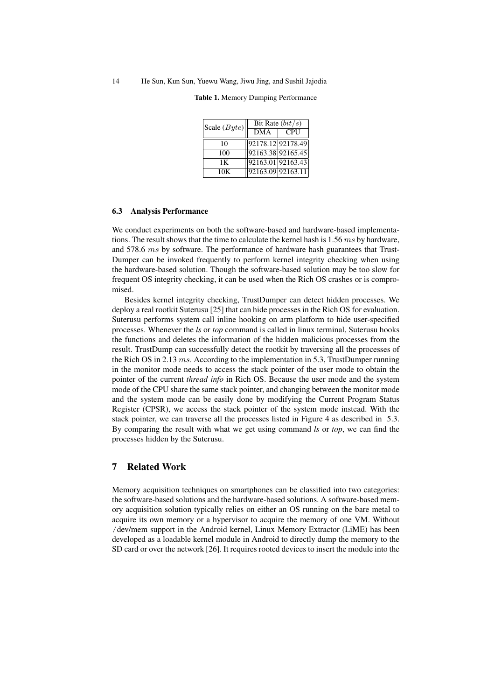| Scale $(Byte)$ | Bit Rate $(bit/s)$ |                   |
|----------------|--------------------|-------------------|
|                | DMA                | CPI               |
| 10             | 92178.12 92178.49  |                   |
| 100            |                    | 92163.38 92165.45 |
| 1 K            |                    | 92163.01 92163.43 |
| 10K            |                    | 92163.09 92163.11 |

Table 1. Memory Dumping Performance

#### 6.3 Analysis Performance

We conduct experiments on both the software-based and hardware-based implementations. The result shows that the time to calculate the kernel hash is  $1.56 \, ms$  by hardware, and 578.6 ms by software. The performance of hardware hash guarantees that Trust-Dumper can be invoked frequently to perform kernel integrity checking when using the hardware-based solution. Though the software-based solution may be too slow for frequent OS integrity checking, it can be used when the Rich OS crashes or is compromised.

Besides kernel integrity checking, TrustDumper can detect hidden processes. We deploy a real rootkit Suterusu [25] that can hide processes in the Rich OS for evaluation. Suterusu performs system call inline hooking on arm platform to hide user-specified processes. Whenever the *ls* or *top* command is called in linux terminal, Suterusu hooks the functions and deletes the information of the hidden malicious processes from the result. TrustDump can successfully detect the rootkit by traversing all the processes of the Rich OS in 2.13 ms. According to the implementation in 5.3, TrustDumper running in the monitor mode needs to access the stack pointer of the user mode to obtain the pointer of the current *thread info* in Rich OS. Because the user mode and the system mode of the CPU share the same stack pointer, and changing between the monitor mode and the system mode can be easily done by modifying the Current Program Status Register (CPSR), we access the stack pointer of the system mode instead. With the stack pointer, we can traverse all the processes listed in Figure 4 as described in 5.3. By comparing the result with what we get using command *ls* or *top*, we can find the processes hidden by the Suterusu.

# 7 Related Work

Memory acquisition techniques on smartphones can be classified into two categories: the software-based solutions and the hardware-based solutions. A software-based memory acquisition solution typically relies on either an OS running on the bare metal to acquire its own memory or a hypervisor to acquire the memory of one VM. Without /dev/mem support in the Android kernel, Linux Memory Extractor (LiME) has been developed as a loadable kernel module in Android to directly dump the memory to the SD card or over the network [26]. It requires rooted devices to insert the module into the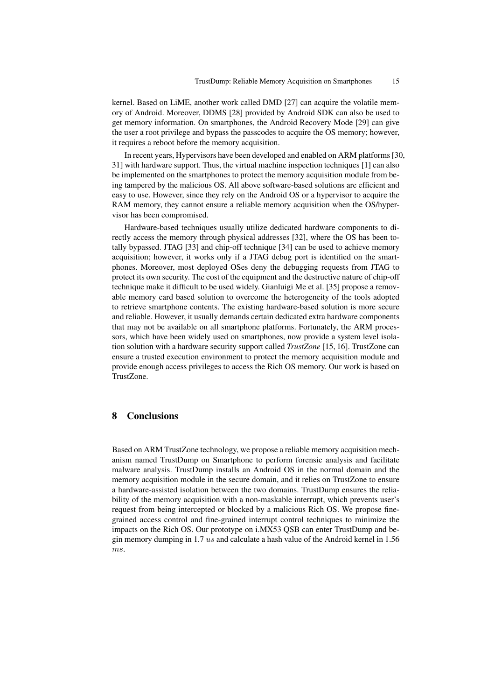kernel. Based on LiME, another work called DMD [27] can acquire the volatile memory of Android. Moreover, DDMS [28] provided by Android SDK can also be used to get memory information. On smartphones, the Android Recovery Mode [29] can give the user a root privilege and bypass the passcodes to acquire the OS memory; however, it requires a reboot before the memory acquisition.

In recent years, Hypervisors have been developed and enabled on ARM platforms [30, 31] with hardware support. Thus, the virtual machine inspection techniques [1] can also be implemented on the smartphones to protect the memory acquisition module from being tampered by the malicious OS. All above software-based solutions are efficient and easy to use. However, since they rely on the Android OS or a hypervisor to acquire the RAM memory, they cannot ensure a reliable memory acquisition when the OS/hypervisor has been compromised.

Hardware-based techniques usually utilize dedicated hardware components to directly access the memory through physical addresses [32], where the OS has been totally bypassed. JTAG [33] and chip-off technique [34] can be used to achieve memory acquisition; however, it works only if a JTAG debug port is identified on the smartphones. Moreover, most deployed OSes deny the debugging requests from JTAG to protect its own security. The cost of the equipment and the destructive nature of chip-off technique make it difficult to be used widely. Gianluigi Me et al. [35] propose a removable memory card based solution to overcome the heterogeneity of the tools adopted to retrieve smartphone contents. The existing hardware-based solution is more secure and reliable. However, it usually demands certain dedicated extra hardware components that may not be available on all smartphone platforms. Fortunately, the ARM processors, which have been widely used on smartphones, now provide a system level isolation solution with a hardware security support called *TrustZone* [15, 16]. TrustZone can ensure a trusted execution environment to protect the memory acquisition module and provide enough access privileges to access the Rich OS memory. Our work is based on TrustZone.

# 8 Conclusions

Based on ARM TrustZone technology, we propose a reliable memory acquisition mechanism named TrustDump on Smartphone to perform forensic analysis and facilitate malware analysis. TrustDump installs an Android OS in the normal domain and the memory acquisition module in the secure domain, and it relies on TrustZone to ensure a hardware-assisted isolation between the two domains. TrustDump ensures the reliability of the memory acquisition with a non-maskable interrupt, which prevents user's request from being intercepted or blocked by a malicious Rich OS. We propose finegrained access control and fine-grained interrupt control techniques to minimize the impacts on the Rich OS. Our prototype on i.MX53 QSB can enter TrustDump and begin memory dumping in 1.7 us and calculate a hash value of the Android kernel in 1.56 ms.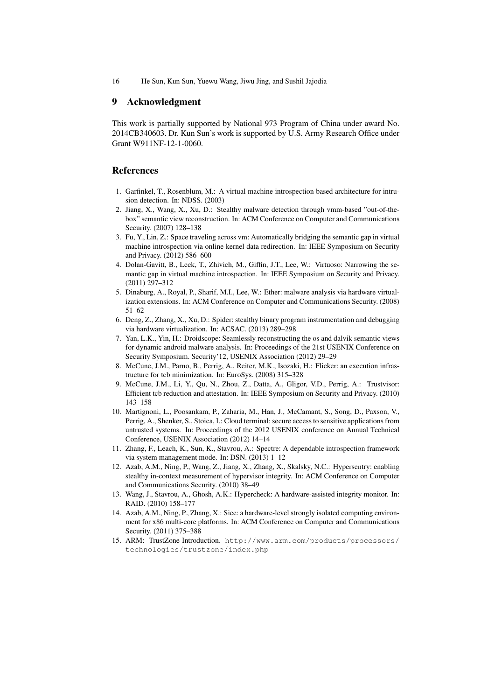# 9 Acknowledgment

This work is partially supported by National 973 Program of China under award No. 2014CB340603. Dr. Kun Sun's work is supported by U.S. Army Research Office under Grant W911NF-12-1-0060.

# References

- 1. Garfinkel, T., Rosenblum, M.: A virtual machine introspection based architecture for intrusion detection. In: NDSS. (2003)
- 2. Jiang, X., Wang, X., Xu, D.: Stealthy malware detection through vmm-based "out-of-thebox" semantic view reconstruction. In: ACM Conference on Computer and Communications Security. (2007) 128–138
- 3. Fu, Y., Lin, Z.: Space traveling across vm: Automatically bridging the semantic gap in virtual machine introspection via online kernel data redirection. In: IEEE Symposium on Security and Privacy. (2012) 586–600
- 4. Dolan-Gavitt, B., Leek, T., Zhivich, M., Giffin, J.T., Lee, W.: Virtuoso: Narrowing the semantic gap in virtual machine introspection. In: IEEE Symposium on Security and Privacy. (2011) 297–312
- 5. Dinaburg, A., Royal, P., Sharif, M.I., Lee, W.: Ether: malware analysis via hardware virtualization extensions. In: ACM Conference on Computer and Communications Security. (2008) 51–62
- 6. Deng, Z., Zhang, X., Xu, D.: Spider: stealthy binary program instrumentation and debugging via hardware virtualization. In: ACSAC. (2013) 289–298
- 7. Yan, L.K., Yin, H.: Droidscope: Seamlessly reconstructing the os and dalvik semantic views for dynamic android malware analysis. In: Proceedings of the 21st USENIX Conference on Security Symposium. Security'12, USENIX Association (2012) 29–29
- 8. McCune, J.M., Parno, B., Perrig, A., Reiter, M.K., Isozaki, H.: Flicker: an execution infrastructure for tcb minimization. In: EuroSys. (2008) 315–328
- 9. McCune, J.M., Li, Y., Qu, N., Zhou, Z., Datta, A., Gligor, V.D., Perrig, A.: Trustvisor: Efficient tcb reduction and attestation. In: IEEE Symposium on Security and Privacy. (2010) 143–158
- 10. Martignoni, L., Poosankam, P., Zaharia, M., Han, J., McCamant, S., Song, D., Paxson, V., Perrig, A., Shenker, S., Stoica, I.: Cloud terminal: secure access to sensitive applications from untrusted systems. In: Proceedings of the 2012 USENIX conference on Annual Technical Conference, USENIX Association (2012) 14–14
- 11. Zhang, F., Leach, K., Sun, K., Stavrou, A.: Spectre: A dependable introspection framework via system management mode. In: DSN. (2013) 1–12
- 12. Azab, A.M., Ning, P., Wang, Z., Jiang, X., Zhang, X., Skalsky, N.C.: Hypersentry: enabling stealthy in-context measurement of hypervisor integrity. In: ACM Conference on Computer and Communications Security. (2010) 38–49
- 13. Wang, J., Stavrou, A., Ghosh, A.K.: Hypercheck: A hardware-assisted integrity monitor. In: RAID. (2010) 158–177
- 14. Azab, A.M., Ning, P., Zhang, X.: Sice: a hardware-level strongly isolated computing environment for x86 multi-core platforms. In: ACM Conference on Computer and Communications Security. (2011) 375–388
- 15. ARM: TrustZone Introduction. http://www.arm.com/products/processors/ technologies/trustzone/index.php